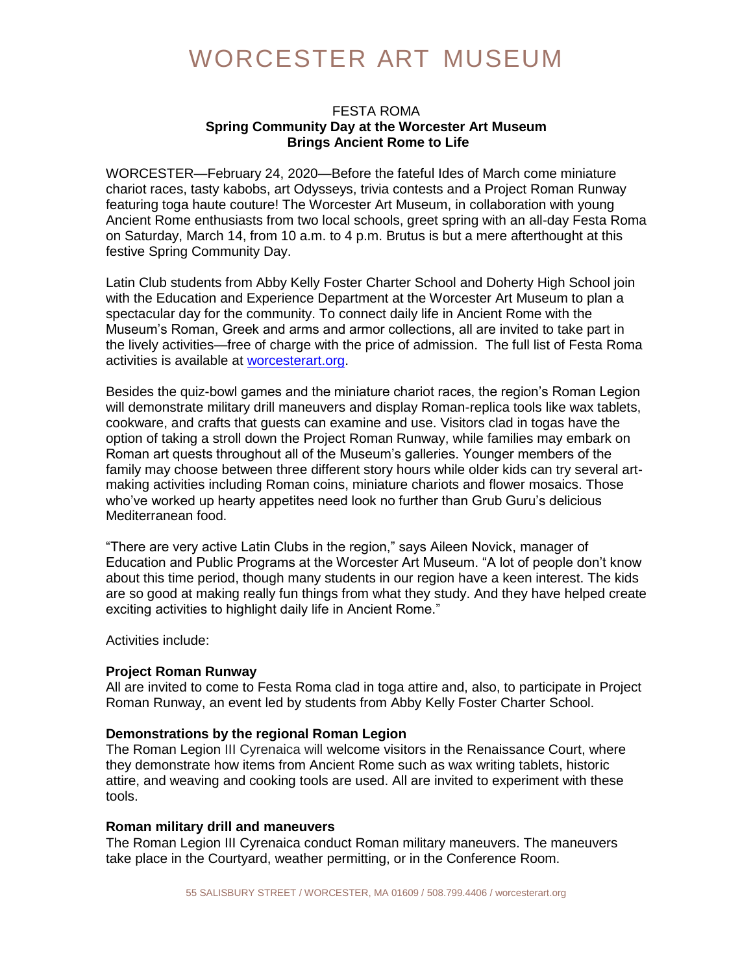## WORCESTER ART MUSEUM

## FESTA ROMA **Spring Community Day at the Worcester Art Museum Brings Ancient Rome to Life**

WORCESTER—February 24, 2020—Before the fateful Ides of March come miniature chariot races, tasty kabobs, art Odysseys, trivia contests and a Project Roman Runway featuring toga haute couture! The Worcester Art Museum, in collaboration with young Ancient Rome enthusiasts from two local schools, greet spring with an all-day Festa Roma on Saturday, March 14, from 10 a.m. to 4 p.m. Brutus is but a mere afterthought at this festive Spring Community Day.

Latin Club students from Abby Kelly Foster Charter School and Doherty High School join with the Education and Experience Department at the Worcester Art Museum to plan a spectacular day for the community. To connect daily life in Ancient Rome with the Museum's Roman, Greek and arms and armor collections, all are invited to take part in the lively activities—free of charge with the price of admission. The full list of Festa Roma activities is available at [worcesterart.org.](https://www.worcesterart.org/events/community-day-spring/)

Besides the quiz-bowl games and the miniature chariot races, the region's Roman Legion will demonstrate military drill maneuvers and display Roman-replica tools like wax tablets, cookware, and crafts that guests can examine and use. Visitors clad in togas have the option of taking a stroll down the Project Roman Runway, while families may embark on Roman art quests throughout all of the Museum's galleries. Younger members of the family may choose between three different story hours while older kids can try several artmaking activities including Roman coins, miniature chariots and flower mosaics. Those who've worked up hearty appetites need look no further than Grub Guru's delicious Mediterranean food.

"There are very active Latin Clubs in the region," says Aileen Novick, manager of Education and Public Programs at the Worcester Art Museum. "A lot of people don't know about this time period, though many students in our region have a keen interest. The kids are so good at making really fun things from what they study. And they have helped create exciting activities to highlight daily life in Ancient Rome."

Activities include:

## **Project Roman Runway**

All are invited to come to Festa Roma clad in toga attire and, also, to participate in Project Roman Runway, an event led by students from Abby Kelly Foster Charter School.

## **Demonstrations by the regional Roman Legion**

The Roman Legion III Cyrenaica will welcome visitors in the Renaissance Court, where they demonstrate how items from Ancient Rome such as wax writing tablets, historic attire, and weaving and cooking tools are used. All are invited to experiment with these tools.

## **Roman military drill and maneuvers**

The Roman Legion III Cyrenaica conduct Roman military maneuvers. The maneuvers take place in the Courtyard, weather permitting, or in the Conference Room.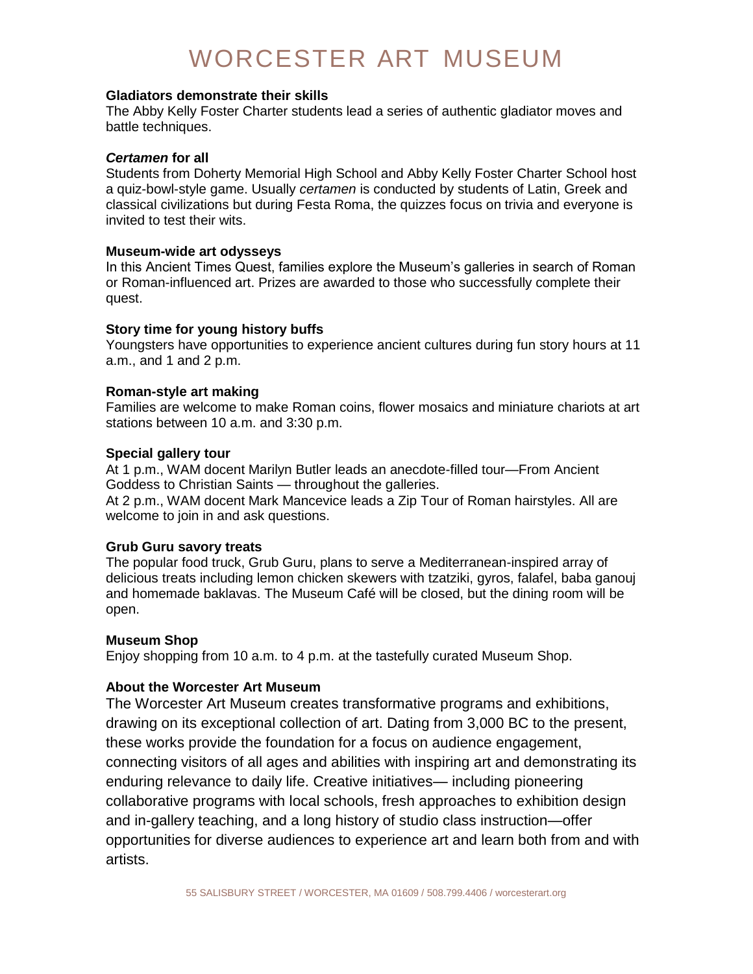# WORCESTER ART MUSEUM

## **Gladiators demonstrate their skills**

The Abby Kelly Foster Charter students lead a series of authentic gladiator moves and battle techniques.

#### *Certamen* **for all**

Students from Doherty Memorial High School and Abby Kelly Foster Charter School host a quiz-bowl-style game. Usually *certamen* is conducted by students of Latin, Greek and classical civilizations but during Festa Roma, the quizzes focus on trivia and everyone is invited to test their wits.

### **Museum-wide art odysseys**

In this Ancient Times Quest, families explore the Museum's galleries in search of Roman or Roman-influenced art. Prizes are awarded to those who successfully complete their quest.

## **Story time for young history buffs**

Youngsters have opportunities to experience ancient cultures during fun story hours at 11 a.m., and 1 and 2 p.m.

### **Roman-style art making**

Families are welcome to make Roman coins, flower mosaics and miniature chariots at art stations between 10 a.m. and 3:30 p.m.

### **Special gallery tour**

At 1 p.m., WAM docent Marilyn Butler leads an anecdote-filled tour—From Ancient Goddess to Christian Saints — throughout the galleries. At 2 p.m., WAM docent Mark Mancevice leads a Zip Tour of Roman hairstyles. All are welcome to join in and ask questions.

## **Grub Guru savory treats**

The popular food truck, Grub Guru, plans to serve a Mediterranean-inspired array of delicious treats including lemon chicken skewers with tzatziki, gyros, falafel, baba ganouj and homemade baklavas. The Museum Café will be closed, but the dining room will be open.

#### **Museum Shop**

Enjoy shopping from 10 a.m. to 4 p.m. at the tastefully curated Museum Shop.

## **About the Worcester Art Museum**

The Worcester Art Museum creates transformative programs and exhibitions, drawing on its exceptional collection of art. Dating from 3,000 BC to the present, these works provide the foundation for a focus on audience engagement, connecting visitors of all ages and abilities with inspiring art and demonstrating its enduring relevance to daily life. Creative initiatives— including pioneering collaborative programs with local schools, fresh approaches to exhibition design and in-gallery teaching, and a long history of studio class instruction—offer opportunities for diverse audiences to experience art and learn both from and with artists.